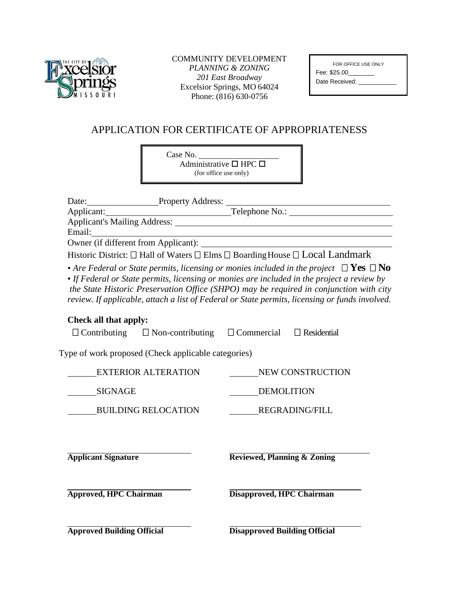

## COMMUNITY DEVELOPMENT *PLANNING & ZONING 201 East Broadway*  Excelsior Springs, MO 64024 Phone: (816) 630-0756

| FOR OFFICE USE ONLY |  |
|---------------------|--|
| Fee: \$25.00        |  |
| Date Received:      |  |
|                     |  |

## APPLICATION FOR CERTIFICATE OF APPROPRIATENESS

Case No. Administrative  $\square$  HPC  $\square$ (for office use only)

| Date: Property Address:                                                                                      |                                                                                                                                                                                                                                                                                                                                                                                            |
|--------------------------------------------------------------------------------------------------------------|--------------------------------------------------------------------------------------------------------------------------------------------------------------------------------------------------------------------------------------------------------------------------------------------------------------------------------------------------------------------------------------------|
| Applicant:                                                                                                   | Telephone No.:                                                                                                                                                                                                                                                                                                                                                                             |
|                                                                                                              |                                                                                                                                                                                                                                                                                                                                                                                            |
|                                                                                                              | <u> 1980 - Johann Barbara, martxa amerikan personal (h. 1980).</u>                                                                                                                                                                                                                                                                                                                         |
|                                                                                                              |                                                                                                                                                                                                                                                                                                                                                                                            |
| Historic District: $\square$ Hall of Waters $\square$ Elms $\square$ Boarding House $\square$ Local Landmark | • Are Federal or State permits, licensing or monies included in the project $\Box$ Yes $\Box$ No<br>• If Federal or State permits, licensing or monies are included in the project a review by<br>the State Historic Preservation Office (SHPO) may be required in conjunction with city<br>review. If applicable, attach a list of Federal or State permits, licensing or funds involved. |
| Check all that apply:<br>$\Box$ Contributing $\Box$ Non-contributing $\Box$ Commercial                       | $\Box$ Residential                                                                                                                                                                                                                                                                                                                                                                         |
| Type of work proposed (Check applicable categories)                                                          |                                                                                                                                                                                                                                                                                                                                                                                            |
| <b>EXTERIOR ALTERATION</b>                                                                                   | NEW CONSTRUCTION                                                                                                                                                                                                                                                                                                                                                                           |
| SIGNAGE                                                                                                      | DEMOLITION                                                                                                                                                                                                                                                                                                                                                                                 |
| <b>BUILDING RELOCATION</b>                                                                                   | <b>REGRADING/FILL</b>                                                                                                                                                                                                                                                                                                                                                                      |
| <b>Applicant Signature</b>                                                                                   | <b>Reviewed, Planning &amp; Zoning</b>                                                                                                                                                                                                                                                                                                                                                     |
| <b>Approved, HPC Chairman</b>                                                                                | Disapproved, HPC Chairman                                                                                                                                                                                                                                                                                                                                                                  |
| <b>Approved Building Official</b>                                                                            | <b>Disapproved Building Official</b>                                                                                                                                                                                                                                                                                                                                                       |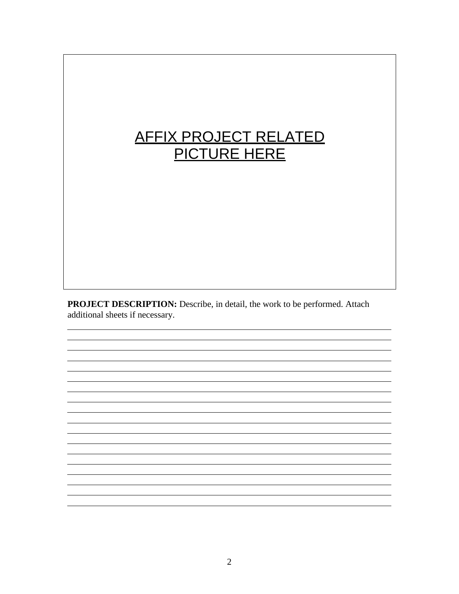## AFFIX PROJECT RELATED PICTURE HERE

PROJECT DESCRIPTION: Describe, in detail, the work to be performed. Attach additional sheets if necessary.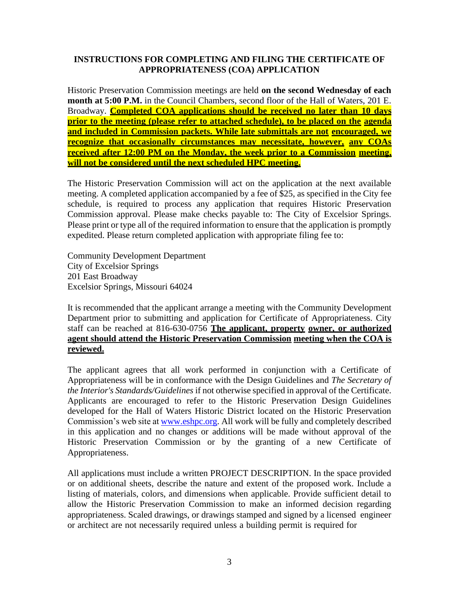## **INSTRUCTIONS FOR COMPLETING AND FILING THE CERTIFICATE OF APPROPRIATENESS (COA) APPLICATION**

Historic Preservation Commission meetings are held **on the second Wednesday of each month at 5:00 P.M.** in the Council Chambers, second floor of the Hall of Waters, 201 E. Broadway. **Completed COA applications should be received no later than 10 days prior to the meeting (please refer to attached schedule), to be placed on the agenda and included in Commission packets. While late submittals are not encouraged, we recognize that occasionally circumstances may necessitate, however, any COAs received after 12:00 PM on the Monday, the week prior to a Commission meeting, will not be considered until the next scheduled HPC meeting.**

The Historic Preservation Commission will act on the application at the next available meeting. A completed application accompanied by a fee of \$25, as specified in the City fee schedule, is required to process any application that requires Historic Preservation Commission approval. Please make checks payable to: The City of Excelsior Springs. Please print or type all of the required information to ensure that the application is promptly expedited. Please return completed application with appropriate filing fee to:

Community Development Department City of Excelsior Springs 201 East Broadway Excelsior Springs, Missouri 64024

It is recommended that the applicant arrange a meeting with the Community Development Department prior to submitting and application for Certificate of Appropriateness. City staff can be reached at 816-630-0756 **The applicant, property owner, or authorized agent should attend the Historic Preservation Commission meeting when the COA is reviewed.**

The applicant agrees that all work performed in conjunction with a Certificate of Appropriateness will be in conformance with the Design Guidelines and *The Secretary of the Interior's Standards/Guidelines* if not otherwise specified in approval of the Certificate. Applicants are encouraged to refer to the Historic Preservation Design Guidelines developed for the Hall of Waters Historic District located on the Historic Preservation Commission's web site a[t www.eshpc.org.](http://www.eshpc.org/) All work will be fully and completely described in this application and no changes or additions will be made without approval of the Historic Preservation Commission or by the granting of a new Certificate of Appropriateness.

All applications must include a written PROJECT DESCRIPTION. In the space provided or on additional sheets, describe the nature and extent of the proposed work. Include a listing of materials, colors, and dimensions when applicable. Provide sufficient detail to allow the Historic Preservation Commission to make an informed decision regarding appropriateness. Scaled drawings, or drawings stamped and signed by a licensed engineer or architect are not necessarily required unless a building permit is required for